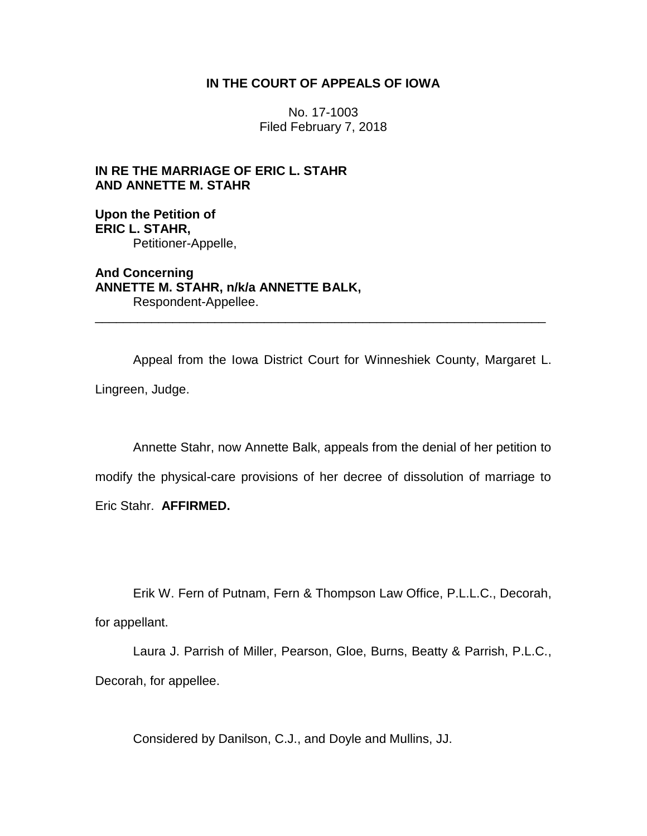## **IN THE COURT OF APPEALS OF IOWA**

No. 17-1003 Filed February 7, 2018

**IN RE THE MARRIAGE OF ERIC L. STAHR AND ANNETTE M. STAHR**

**Upon the Petition of ERIC L. STAHR,** Petitioner-Appelle,

**And Concerning ANNETTE M. STAHR, n/k/a ANNETTE BALK,** Respondent-Appellee.

Appeal from the Iowa District Court for Winneshiek County, Margaret L. Lingreen, Judge.

\_\_\_\_\_\_\_\_\_\_\_\_\_\_\_\_\_\_\_\_\_\_\_\_\_\_\_\_\_\_\_\_\_\_\_\_\_\_\_\_\_\_\_\_\_\_\_\_\_\_\_\_\_\_\_\_\_\_\_\_\_\_\_\_

Annette Stahr, now Annette Balk, appeals from the denial of her petition to modify the physical-care provisions of her decree of dissolution of marriage to Eric Stahr. **AFFIRMED.**

Erik W. Fern of Putnam, Fern & Thompson Law Office, P.L.L.C., Decorah, for appellant.

Laura J. Parrish of Miller, Pearson, Gloe, Burns, Beatty & Parrish, P.L.C., Decorah, for appellee.

Considered by Danilson, C.J., and Doyle and Mullins, JJ.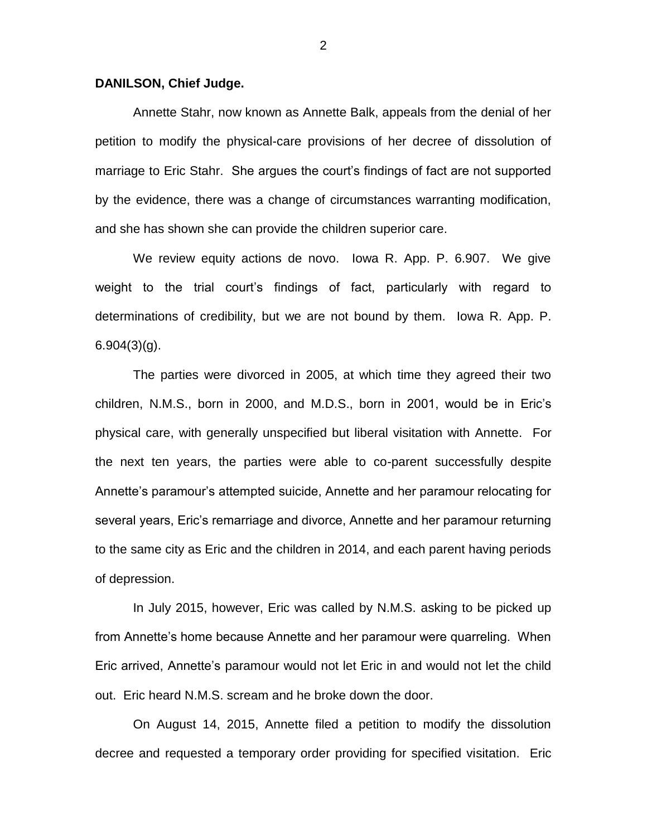## **DANILSON, Chief Judge.**

Annette Stahr, now known as Annette Balk, appeals from the denial of her petition to modify the physical-care provisions of her decree of dissolution of marriage to Eric Stahr. She argues the court's findings of fact are not supported by the evidence, there was a change of circumstances warranting modification, and she has shown she can provide the children superior care.

We review equity actions de novo. Iowa R. App. P. 6.907. We give weight to the trial court's findings of fact, particularly with regard to determinations of credibility, but we are not bound by them. Iowa R. App. P.  $6.904(3)(g)$ .

The parties were divorced in 2005, at which time they agreed their two children, N.M.S., born in 2000, and M.D.S., born in 2001, would be in Eric's physical care, with generally unspecified but liberal visitation with Annette. For the next ten years, the parties were able to co-parent successfully despite Annette's paramour's attempted suicide, Annette and her paramour relocating for several years, Eric's remarriage and divorce, Annette and her paramour returning to the same city as Eric and the children in 2014, and each parent having periods of depression.

In July 2015, however, Eric was called by N.M.S. asking to be picked up from Annette's home because Annette and her paramour were quarreling. When Eric arrived, Annette's paramour would not let Eric in and would not let the child out. Eric heard N.M.S. scream and he broke down the door.

On August 14, 2015, Annette filed a petition to modify the dissolution decree and requested a temporary order providing for specified visitation. Eric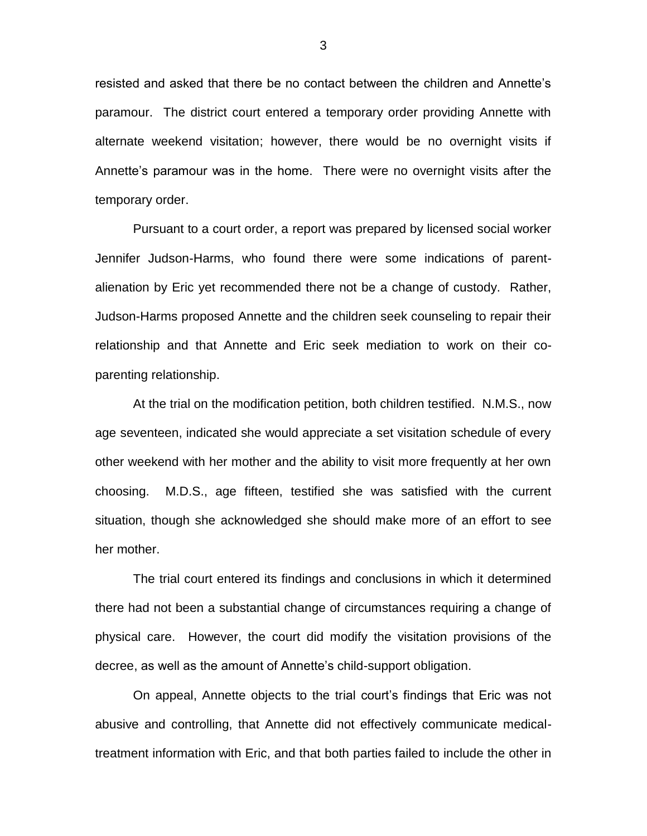resisted and asked that there be no contact between the children and Annette's paramour. The district court entered a temporary order providing Annette with alternate weekend visitation; however, there would be no overnight visits if Annette's paramour was in the home. There were no overnight visits after the temporary order.

Pursuant to a court order, a report was prepared by licensed social worker Jennifer Judson-Harms, who found there were some indications of parentalienation by Eric yet recommended there not be a change of custody. Rather, Judson-Harms proposed Annette and the children seek counseling to repair their relationship and that Annette and Eric seek mediation to work on their coparenting relationship.

At the trial on the modification petition, both children testified. N.M.S., now age seventeen, indicated she would appreciate a set visitation schedule of every other weekend with her mother and the ability to visit more frequently at her own choosing. M.D.S., age fifteen, testified she was satisfied with the current situation, though she acknowledged she should make more of an effort to see her mother.

The trial court entered its findings and conclusions in which it determined there had not been a substantial change of circumstances requiring a change of physical care. However, the court did modify the visitation provisions of the decree, as well as the amount of Annette's child-support obligation.

On appeal, Annette objects to the trial court's findings that Eric was not abusive and controlling, that Annette did not effectively communicate medicaltreatment information with Eric, and that both parties failed to include the other in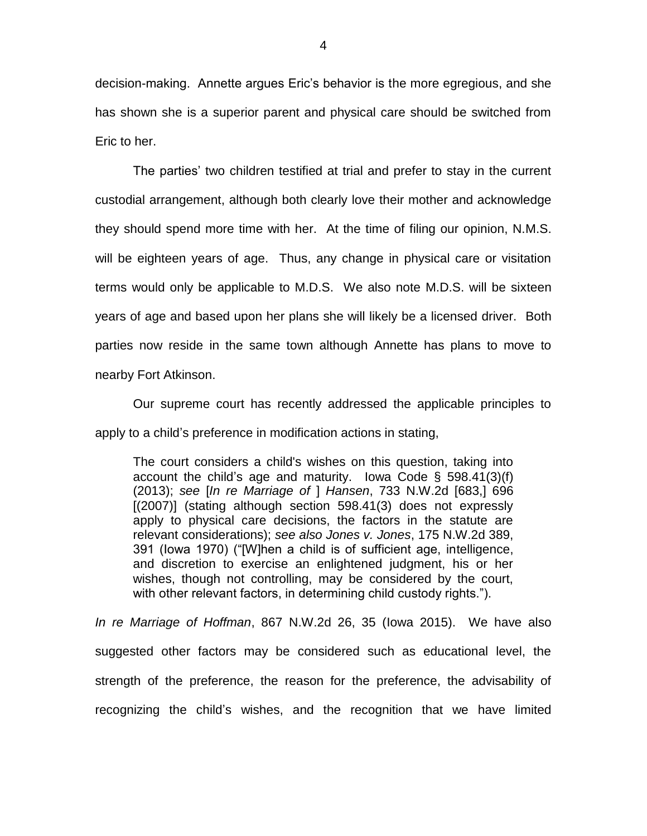decision-making. Annette argues Eric's behavior is the more egregious, and she has shown she is a superior parent and physical care should be switched from Eric to her.

The parties' two children testified at trial and prefer to stay in the current custodial arrangement, although both clearly love their mother and acknowledge they should spend more time with her. At the time of filing our opinion, N.M.S. will be eighteen years of age. Thus, any change in physical care or visitation terms would only be applicable to M.D.S. We also note M.D.S. will be sixteen years of age and based upon her plans she will likely be a licensed driver. Both parties now reside in the same town although Annette has plans to move to nearby Fort Atkinson.

Our supreme court has recently addressed the applicable principles to apply to a child's preference in modification actions in stating,

The court considers a child's wishes on this question, taking into account the child's age and maturity. Iowa Code § 598.41(3)(f) (2013); *see* [*In re Marriage of* ] *Hansen*, 733 N.W.2d [683,] 696 [(2007)] (stating although section 598.41(3) does not expressly apply to physical care decisions, the factors in the statute are relevant considerations); *see also Jones v. Jones*, 175 N.W.2d 389, 391 (Iowa 1970) ("[W]hen a child is of sufficient age, intelligence, and discretion to exercise an enlightened judgment, his or her wishes, though not controlling, may be considered by the court, with other relevant factors, in determining child custody rights.").

*In re Marriage of Hoffman*, 867 N.W.2d 26, 35 (Iowa 2015). We have also suggested other factors may be considered such as educational level, the strength of the preference, the reason for the preference, the advisability of recognizing the child's wishes, and the recognition that we have limited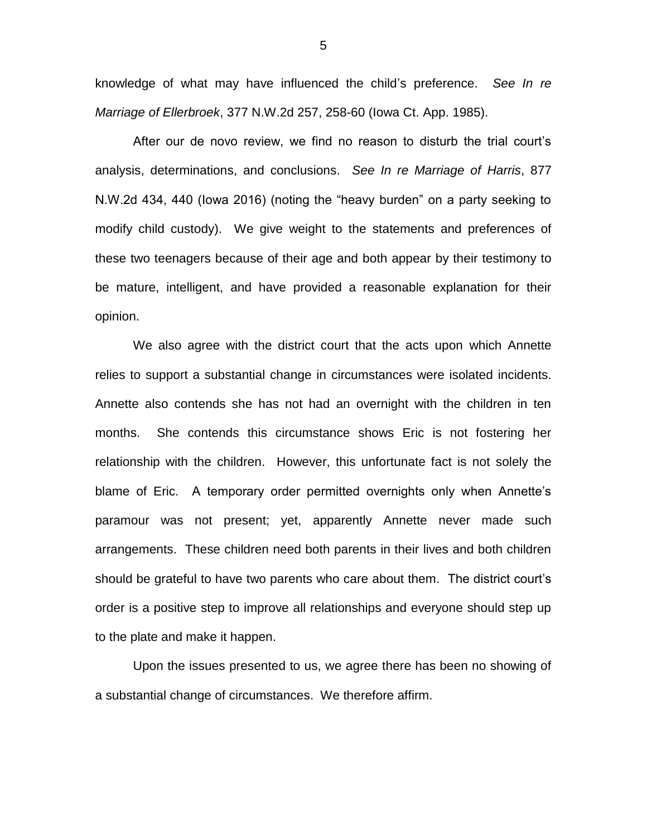knowledge of what may have influenced the child's preference. *See In re Marriage of Ellerbroek*, 377 N.W.2d 257, 258-60 (Iowa Ct. App. 1985).

After our de novo review, we find no reason to disturb the trial court's analysis, determinations, and conclusions. *See In re Marriage of Harris*, 877 N.W.2d 434, 440 (Iowa 2016) (noting the "heavy burden" on a party seeking to modify child custody). We give weight to the statements and preferences of these two teenagers because of their age and both appear by their testimony to be mature, intelligent, and have provided a reasonable explanation for their opinion.

We also agree with the district court that the acts upon which Annette relies to support a substantial change in circumstances were isolated incidents. Annette also contends she has not had an overnight with the children in ten months. She contends this circumstance shows Eric is not fostering her relationship with the children. However, this unfortunate fact is not solely the blame of Eric. A temporary order permitted overnights only when Annette's paramour was not present; yet, apparently Annette never made such arrangements. These children need both parents in their lives and both children should be grateful to have two parents who care about them. The district court's order is a positive step to improve all relationships and everyone should step up to the plate and make it happen.

Upon the issues presented to us, we agree there has been no showing of a substantial change of circumstances. We therefore affirm.

5